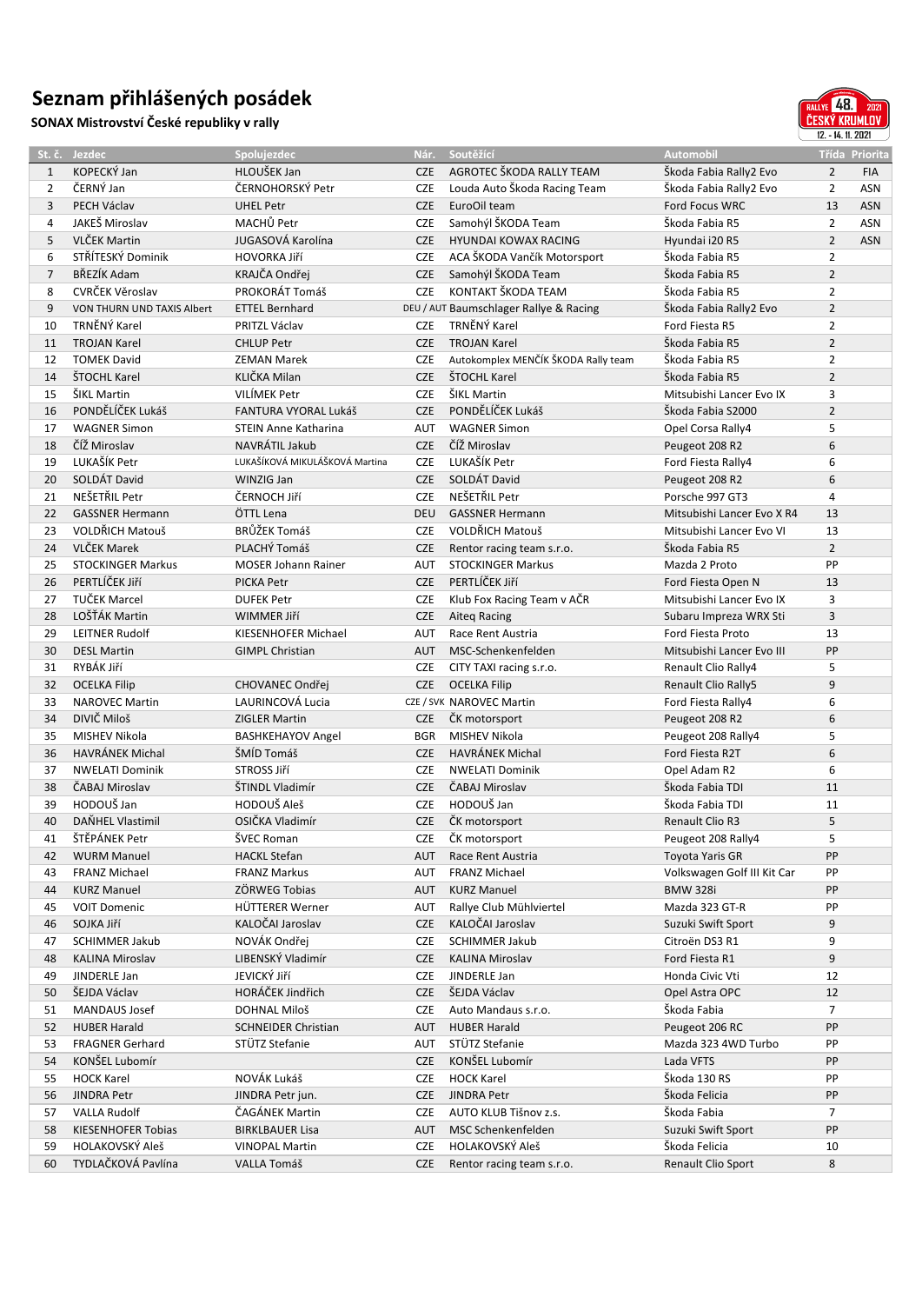## **Seznam přihlášených posádek**

**SONAX Mistrovství České republiky v rally**



|                | St. č. Jezdec              | Spolujezdec                    | Nár.       | Soutěžící                              | <b>Automobil</b>                     |                | Třída Priorita |
|----------------|----------------------------|--------------------------------|------------|----------------------------------------|--------------------------------------|----------------|----------------|
| $\mathbf{1}$   | KOPECKÝ Jan                | HLOUŠEK Jan                    | <b>CZE</b> | AGROTEC ŠKODA RALLY TEAM               | Škoda Fabia Rally2 Evo               | $\overline{2}$ | <b>FIA</b>     |
| $\overline{2}$ | ČERNÝ Jan                  | ČERNOHORSKÝ Petr               | <b>CZE</b> | Louda Auto Škoda Racing Team           | Škoda Fabia Rally2 Evo               | 2              | <b>ASN</b>     |
| 3              | PECH Václav                | <b>UHEL Petr</b>               | <b>CZE</b> | EuroOil team                           | Ford Focus WRC                       | 13             | <b>ASN</b>     |
| 4              | JAKEŠ Miroslav             | MACHŮ Petr                     | <b>CZE</b> | Samohýl ŠKODA Team                     | Škoda Fabia R5                       | $\overline{2}$ | ASN            |
| 5              | <b>VLČEK Martin</b>        | JUGASOVÁ Karolína              | <b>CZE</b> | HYUNDAI KOWAX RACING                   | Hyundai i20 R5                       | $\overline{2}$ | <b>ASN</b>     |
| 6              | STŘÍTESKÝ Dominik          | HOVORKA Jiří                   | <b>CZE</b> | ACA ŠKODA Vančík Motorsport            | Škoda Fabia R5                       | $\overline{2}$ |                |
| $\overline{7}$ | BŘEZÍK Adam                | KRAJČA Ondřej                  | <b>CZE</b> | Samohýl ŠKODA Team                     | Škoda Fabia R5                       | $\overline{2}$ |                |
| 8              | CVRČEK Věroslav            | PROKORÁT Tomáš                 | <b>CZE</b> | KONTAKT ŠKODA TEAM                     | Škoda Fabia R5                       | $\overline{2}$ |                |
| 9              | VON THURN UND TAXIS Albert | <b>ETTEL Bernhard</b>          |            | DEU / AUT Baumschlager Rallye & Racing | Škoda Fabia Rally2 Evo               | $\overline{2}$ |                |
| 10             | TRNĚNÝ Karel               | PRITZL Václav                  | <b>CZE</b> | TRNĚNÝ Karel                           | Ford Fiesta R5                       | $\overline{2}$ |                |
| 11             | <b>TROJAN Karel</b>        | <b>CHLUP Petr</b>              | <b>CZE</b> | <b>TROJAN Karel</b>                    | Škoda Fabia R5                       | $\overline{2}$ |                |
| 12             | <b>TOMEK David</b>         | <b>ZEMAN Marek</b>             | <b>CZE</b> | Autokomplex MENČÍK ŠKODA Rally team    | Škoda Fabia R5                       | $\overline{2}$ |                |
| 14             | ŠTOCHL Karel               | KLIČKA Milan                   | <b>CZE</b> | ŠTOCHL Karel                           | Škoda Fabia R5                       | $\overline{2}$ |                |
| 15             | ŠIKL Martin                | VILÍMEK Petr                   | <b>CZE</b> | ŠIKL Martin                            | Mitsubishi Lancer Evo IX             | 3              |                |
| 16             | PONDĚLÍČEK Lukáš           | FANTURA VYORAL Lukáš           | <b>CZE</b> | PONDĚLÍČEK Lukáš                       | Škoda Fabia S2000                    | $\overline{2}$ |                |
| 17             | <b>WAGNER Simon</b>        | <b>STEIN Anne Katharina</b>    | <b>AUT</b> | <b>WAGNER Simon</b>                    |                                      | 5              |                |
| 18             | ČÍŽ Miroslav               | NAVRÁTIL Jakub                 | <b>CZE</b> | ČÍŽ Miroslav                           | Opel Corsa Rally4                    | 6              |                |
|                | LUKAŠÍK Petr               | LUKAŠÍKOVÁ MIKULÁŠKOVÁ Martina |            | LUKAŠÍK Petr                           | Peugeot 208 R2<br>Ford Fiesta Rally4 | 6              |                |
| 19             |                            |                                | <b>CZE</b> |                                        |                                      |                |                |
| 20             | SOLDÁT David               | WINZIG Jan                     | <b>CZE</b> | SOLDÁT David                           | Peugeot 208 R2                       | 6              |                |
| 21             | NEŠETŘIL Petr              | ČERNOCH Jiří                   | <b>CZE</b> | NEŠETŘIL Petr                          | Porsche 997 GT3                      | 4              |                |
| 22             | <b>GASSNER Hermann</b>     | ÖTTL Lena                      | <b>DEU</b> | <b>GASSNER Hermann</b>                 | Mitsubishi Lancer Evo X R4           | 13             |                |
| 23             | <b>VOLDŘICH Matouš</b>     | BRŮŽEK Tomáš                   | <b>CZE</b> | VOLDŘICH Matouš                        | Mitsubishi Lancer Evo VI             | 13             |                |
| 24             | <b>VLČEK Marek</b>         | PLACHÝ Tomáš                   | <b>CZE</b> | Rentor racing team s.r.o.              | Škoda Fabia R5                       | $\overline{2}$ |                |
| 25             | <b>STOCKINGER Markus</b>   | <b>MOSER Johann Rainer</b>     | <b>AUT</b> | <b>STOCKINGER Markus</b>               | Mazda 2 Proto                        | PP             |                |
| 26             | PERTLÍČEK Jiří             | <b>PICKA Petr</b>              | <b>CZE</b> | PERTLÍČEK JIří                         | Ford Fiesta Open N                   | 13             |                |
| 27             | <b>TUČEK Marcel</b>        | <b>DUFEK Petr</b>              | <b>CZE</b> | Klub Fox Racing Team v AČR             | Mitsubishi Lancer Evo IX             | 3              |                |
| 28             | LOŠŤÁK Martin              | WIMMER Jiří                    | <b>CZE</b> | <b>Aiteg Racing</b>                    | Subaru Impreza WRX Sti               | 3              |                |
| 29             | <b>LEITNER Rudolf</b>      | KIESENHOFER Michael            | AUT        | Race Rent Austria                      | Ford Fiesta Proto                    | 13             |                |
| 30             | <b>DESL Martin</b>         | <b>GIMPL Christian</b>         | AUT        | MSC-Schenkenfelden                     | Mitsubishi Lancer Evo III            | PP             |                |
| 31             | RYBÁK Jiří                 |                                | <b>CZE</b> | CITY TAXI racing s.r.o.                | Renault Clio Rally4                  | 5              |                |
| 32             | <b>OCELKA Filip</b>        | CHOVANEC Ondřej                | <b>CZE</b> | <b>OCELKA Filip</b>                    | <b>Renault Clio Rally5</b>           | 9              |                |
| 33             | <b>NAROVEC Martin</b>      | LAURINCOVÁ Lucia               |            | CZE / SVK NAROVEC Martin               | Ford Fiesta Rally4                   | 6              |                |
| 34             | DIVIČ Miloš                | <b>ZIGLER Martin</b>           | <b>CZE</b> | ČK motorsport                          | Peugeot 208 R2                       | 6              |                |
| 35             | MISHEV Nikola              | <b>BASHKEHAYOV Angel</b>       | <b>BGR</b> | <b>MISHEV Nikola</b>                   | Peugeot 208 Rally4                   | 5              |                |
| 36             | <b>HAVRÁNEK Michal</b>     | ŠMÍD Tomáš                     | <b>CZE</b> | <b>HAVRÁNEK Michal</b>                 | Ford Fiesta R2T                      | 6              |                |
| 37             | <b>NWELATI Dominik</b>     | STROSS Jiří                    | <b>CZE</b> | <b>NWELATI Dominik</b>                 | Opel Adam R2                         | 6              |                |
| 38             | ČABAJ Miroslav             | ŠTINDL Vladimír                | <b>CZE</b> | ČABAJ Miroslav                         | Škoda Fabia TDI                      | 11             |                |
| 39             | HODOUŠ Jan                 | HODOUŠ Aleš                    | <b>CZE</b> | HODOUŠ Jan                             | Škoda Fabia TDI                      | 11             |                |
| 40             | DAŇHEL Vlastimil           | OSIČKA Vladimír                | <b>CZE</b> | ČK motorsport                          | Renault Clio R3                      | 5              |                |
| 41             | ŠTĚPÁNEK Petr              | ŠVEC Roman                     |            | CZE ČK motorsport                      | Peugeot 208 Rally4                   | 5              |                |
| 42             | <b>WURM Manuel</b>         | <b>HACKL Stefan</b>            | AUT        | Race Rent Austria                      | Toyota Yaris GR                      | PP             |                |
| 43             | <b>FRANZ Michael</b>       | <b>FRANZ Markus</b>            | AUT        | <b>FRANZ Michael</b>                   | Volkswagen Golf III Kit Car          | PP             |                |
| 44             | <b>KURZ Manuel</b>         | ZÖRWEG Tobias                  | AUT        | <b>KURZ Manuel</b>                     | <b>BMW 328i</b>                      | PP             |                |
| 45             | <b>VOIT Domenic</b>        | HÜTTERER Werner                | AUT        | Rallye Club Mühlviertel                | Mazda 323 GT-R                       | PP             |                |
| 46             | SOJKA Jiří                 | KALOČAI Jaroslav               | <b>CZE</b> | KALOČAI Jaroslav                       | Suzuki Swift Sport                   | 9              |                |
| 47             | SCHIMMER Jakub             | NOVÁK Ondřej                   | CZE        | <b>SCHIMMER Jakub</b>                  | Citroën DS3 R1                       | 9              |                |
| 48             | <b>KALINA Miroslav</b>     | LIBENSKÝ Vladimír              | <b>CZE</b> | <b>KALINA Miroslav</b>                 | Ford Fiesta R1                       | 9              |                |
| 49             | JINDERLE Jan               | JEVICKÝ Jiří                   | CZE        | JINDERLE Jan                           | Honda Civic Vti                      | 12             |                |
| 50             | ŠEJDA Václav               | HORÁČEK Jindřich               | <b>CZE</b> | ŠEJDA Václav                           | Opel Astra OPC                       | 12             |                |
| 51             | MANDAUS Josef              | DOHNAL Miloš                   | <b>CZE</b> | Auto Mandaus s.r.o.                    | Škoda Fabia                          | 7              |                |
| 52             | <b>HUBER Harald</b>        | <b>SCHNEIDER Christian</b>     | AUT        | <b>HUBER Harald</b>                    | Peugeot 206 RC                       | PP             |                |
| 53             | <b>FRAGNER Gerhard</b>     | STÜTZ Stefanie                 | AUT        | STÜTZ Stefanie                         | Mazda 323 4WD Turbo                  | PP             |                |
| 54             | KONŠEL Lubomír             |                                | <b>CZE</b> | KONŠEL Lubomír                         | Lada VFTS                            | PP             |                |
| 55             | <b>HOCK Karel</b>          | NOVÁK Lukáš                    | CZE        | <b>HOCK Karel</b>                      | Škoda 130 RS                         | PP             |                |
| 56             | JINDRA Petr                | JINDRA Petr jun.               | <b>CZE</b> | <b>JINDRA Petr</b>                     | Škoda Felicia                        | PP             |                |
| 57             | <b>VALLA Rudolf</b>        | ČAGÁNEK Martin                 | <b>CZE</b> | AUTO KLUB Tišnov z.s.                  | Škoda Fabia                          | 7              |                |
| 58             | KIESENHOFER Tobias         |                                |            | MSC Schenkenfelden                     | Suzuki Swift Sport                   | PP             |                |
|                | HOLAKOVSKÝ Aleš            | BIRKLBAUER Lisa                | <b>AUT</b> | HOLAKOVSKÝ Aleš                        |                                      |                |                |
| 59             |                            | <b>VINOPAL Martin</b>          | CZE        |                                        | Škoda Felicia                        | 10             |                |
| 60             | TYDLAČKOVÁ Pavlína         | VALLA Tomáš                    | <b>CZE</b> | Rentor racing team s.r.o.              | Renault Clio Sport                   | 8              |                |